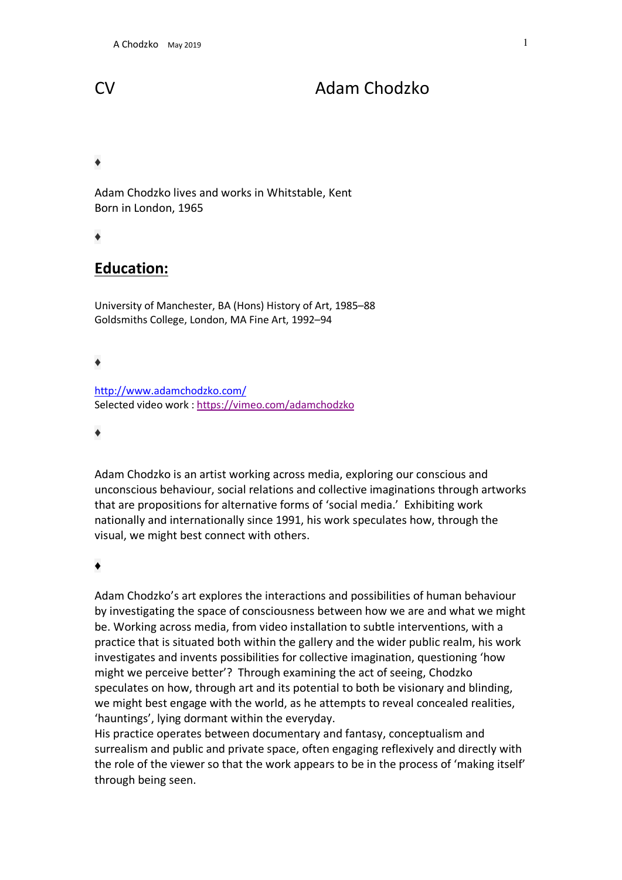# CV Adam Chodzko

# ♦

Adam Chodzko lives and works in Whitstable, Kent Born in London, 1965

♦

# **Education:**

University of Manchester, BA (Hons) History of Art, 1985–88 Goldsmiths College, London, MA Fine Art, 1992–94

# ♦

http://www.adamchodzko.com/ Selected video work : https://vimeo.com/adamchodzko

#### ♦

Adam Chodzko is an artist working across media, exploring our conscious and unconscious behaviour, social relations and collective imaginations through artworks that are propositions for alternative forms of 'social media.' Exhibiting work nationally and internationally since 1991, his work speculates how, through the visual, we might best connect with others.

#### ♦

Adam Chodzko's art explores the interactions and possibilities of human behaviour by investigating the space of consciousness between how we are and what we might be. Working across media, from video installation to subtle interventions, with a practice that is situated both within the gallery and the wider public realm, his work investigates and invents possibilities for collective imagination, questioning 'how might we perceive better'? Through examining the act of seeing, Chodzko speculates on how, through art and its potential to both be visionary and blinding, we might best engage with the world, as he attempts to reveal concealed realities, 'hauntings', lying dormant within the everyday.

His practice operates between documentary and fantasy, conceptualism and surrealism and public and private space, often engaging reflexively and directly with the role of the viewer so that the work appears to be in the process of 'making itself' through being seen.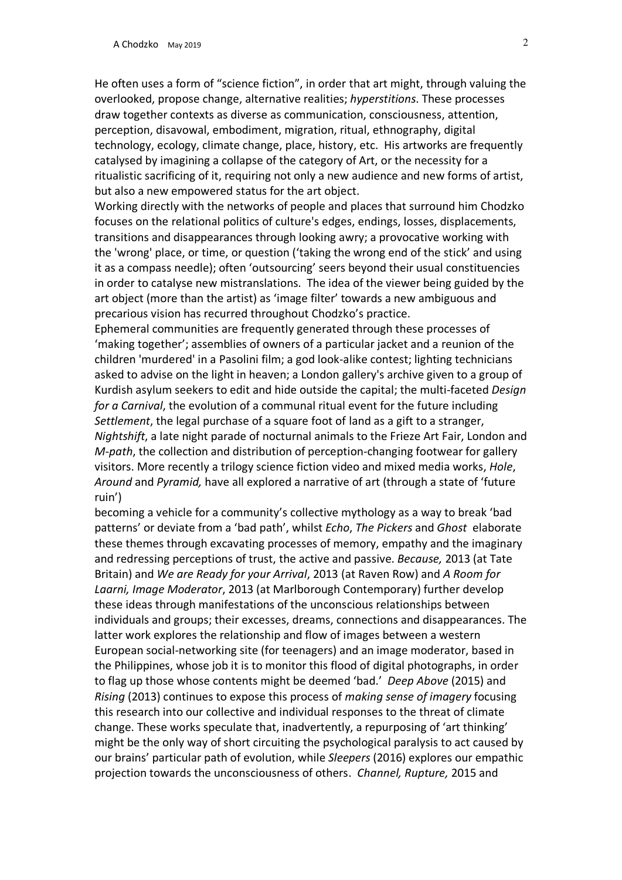He often uses a form of "science fiction", in order that art might, through valuing the overlooked, propose change, alternative realities; *hyperstitions*. These processes draw together contexts as diverse as communication, consciousness, attention, perception, disavowal, embodiment, migration, ritual, ethnography, digital technology, ecology, climate change, place, history, etc. His artworks are frequently catalysed by imagining a collapse of the category of Art, or the necessity for a ritualistic sacrificing of it, requiring not only a new audience and new forms of artist, but also a new empowered status for the art object.

Working directly with the networks of people and places that surround him Chodzko focuses on the relational politics of culture's edges, endings, losses, displacements, transitions and disappearances through looking awry; a provocative working with the 'wrong' place, or time, or question ('taking the wrong end of the stick' and using it as a compass needle); often 'outsourcing' seers beyond their usual constituencies in order to catalyse new mistranslations. The idea of the viewer being guided by the art object (more than the artist) as 'image filter' towards a new ambiguous and precarious vision has recurred throughout Chodzko's practice.

Ephemeral communities are frequently generated through these processes of 'making together'; assemblies of owners of a particular jacket and a reunion of the children 'murdered' in a Pasolini film; a god look-alike contest; lighting technicians asked to advise on the light in heaven; a London gallery's archive given to a group of Kurdish asylum seekers to edit and hide outside the capital; the multi-faceted *Design for a Carnival*, the evolution of a communal ritual event for the future including *Settlement*, the legal purchase of a square foot of land as a gift to a stranger, *Nightshift*, a late night parade of nocturnal animals to the Frieze Art Fair, London and *M-path*, the collection and distribution of perception-changing footwear for gallery visitors. More recently a trilogy science fiction video and mixed media works, *Hole*, *Around* and *Pyramid,* have all explored a narrative of art (through a state of 'future ruin')

becoming a vehicle for a community's collective mythology as a way to break 'bad patterns' or deviate from a 'bad path', whilst *Echo*, *The Pickers* and *Ghost* elaborate these themes through excavating processes of memory, empathy and the imaginary and redressing perceptions of trust, the active and passive. *Because,* 2013 (at Tate Britain) and *We are Ready for your Arrival*, 2013 (at Raven Row) and *A Room for Laarni, Image Moderator*, 2013 (at Marlborough Contemporary) further develop these ideas through manifestations of the unconscious relationships between individuals and groups; their excesses, dreams, connections and disappearances. The latter work explores the relationship and flow of images between a western European social-networking site (for teenagers) and an image moderator, based in the Philippines, whose job it is to monitor this flood of digital photographs, in order to flag up those whose contents might be deemed 'bad.' *Deep Above* (2015) and *Rising* (2013) continues to expose this process of *making sense of imagery* focusing this research into our collective and individual responses to the threat of climate change. These works speculate that, inadvertently, a repurposing of 'art thinking' might be the only way of short circuiting the psychological paralysis to act caused by our brains' particular path of evolution, while *Sleepers* (2016) explores our empathic projection towards the unconsciousness of others. *Channel, Rupture,* 2015 and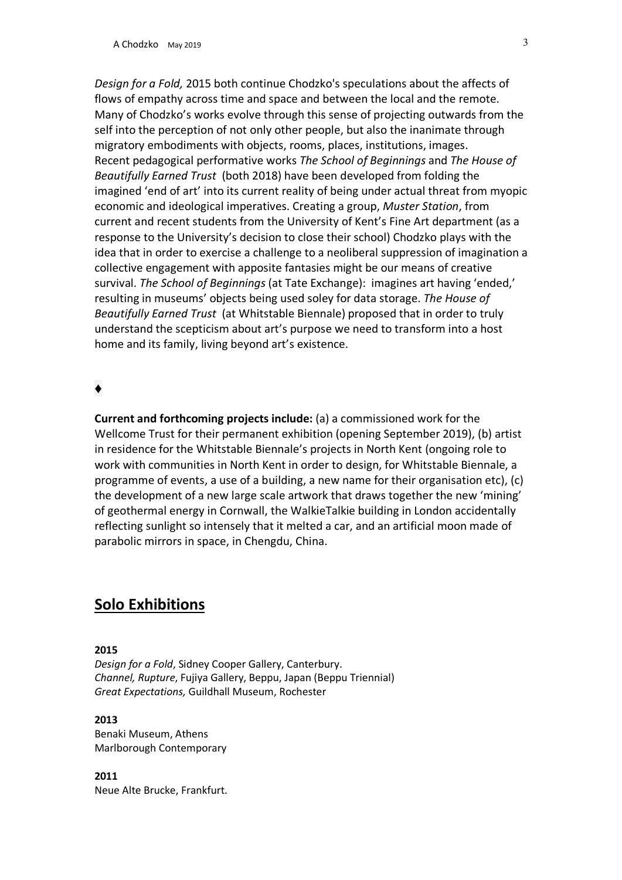A Chodzko May 2019 3

*Design for a Fold,* 2015 both continue Chodzko's speculations about the affects of flows of empathy across time and space and between the local and the remote. Many of Chodzko's works evolve through this sense of projecting outwards from the self into the perception of not only other people, but also the inanimate through migratory embodiments with objects, rooms, places, institutions, images. Recent pedagogical performative works *The School of Beginnings* and *The House of Beautifully Earned Trust* (both 2018) have been developed from folding the imagined 'end of art' into its current reality of being under actual threat from myopic economic and ideological imperatives. Creating a group, *Muster Station*, from current and recent students from the University of Kent's Fine Art department (as a response to the University's decision to close their school) Chodzko plays with the idea that in order to exercise a challenge to a neoliberal suppression of imagination a collective engagement with apposite fantasies might be our means of creative survival. *The School of Beginnings* (at Tate Exchange): imagines art having 'ended,' resulting in museums' objects being used soley for data storage. *The House of Beautifully Earned Trust* (at Whitstable Biennale) proposed that in order to truly understand the scepticism about art's purpose we need to transform into a host home and its family, living beyond art's existence.

# ♦

**Current and forthcoming projects include:** (a) a commissioned work for the Wellcome Trust for their permanent exhibition (opening September 2019), (b) artist in residence for the Whitstable Biennale's projects in North Kent (ongoing role to work with communities in North Kent in order to design, for Whitstable Biennale, a programme of events, a use of a building, a new name for their organisation etc), (c) the development of a new large scale artwork that draws together the new 'mining' of geothermal energy in Cornwall, the WalkieTalkie building in London accidentally reflecting sunlight so intensely that it melted a car, and an artificial moon made of parabolic mirrors in space, in Chengdu, China.

# **Solo Exhibitions**

#### **2015**

*Design for a Fold*, Sidney Cooper Gallery, Canterbury. *Channel, Rupture*, Fujiya Gallery, Beppu, Japan (Beppu Triennial) *Great Expectations,* Guildhall Museum, Rochester

#### **2013**

Benaki Museum, Athens Marlborough Contemporary

**2011** Neue Alte Brucke, Frankfurt.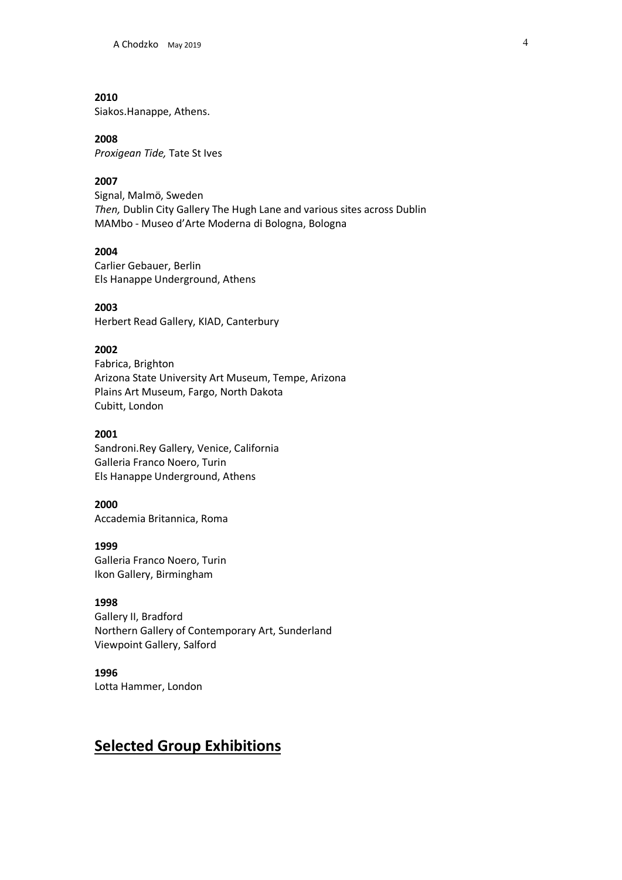Siakos.Hanappe, Athens.

#### **2008**

*Proxigean Tide,* Tate St Ives

# **2007**

Signal, Malmö, Sweden *Then,* Dublin City Gallery The Hugh Lane and various sites across Dublin MAMbo - Museo d'Arte Moderna di Bologna, Bologna

#### **2004**

Carlier Gebauer, Berlin Els Hanappe Underground, Athens

#### **2003**

Herbert Read Gallery, KIAD, Canterbury

# **2002**

Fabrica, Brighton Arizona State University Art Museum, Tempe, Arizona Plains Art Museum, Fargo, North Dakota Cubitt, London

#### **2001**

Sandroni.Rey Gallery, Venice, California Galleria Franco Noero, Turin Els Hanappe Underground, Athens

#### **2000**

Accademia Britannica, Roma

#### **1999**

Galleria Franco Noero, Turin Ikon Gallery, Birmingham

#### **1998**

Gallery II, Bradford Northern Gallery of Contemporary Art, Sunderland Viewpoint Gallery, Salford

#### **1996**

Lotta Hammer, London

# **Selected Group Exhibitions**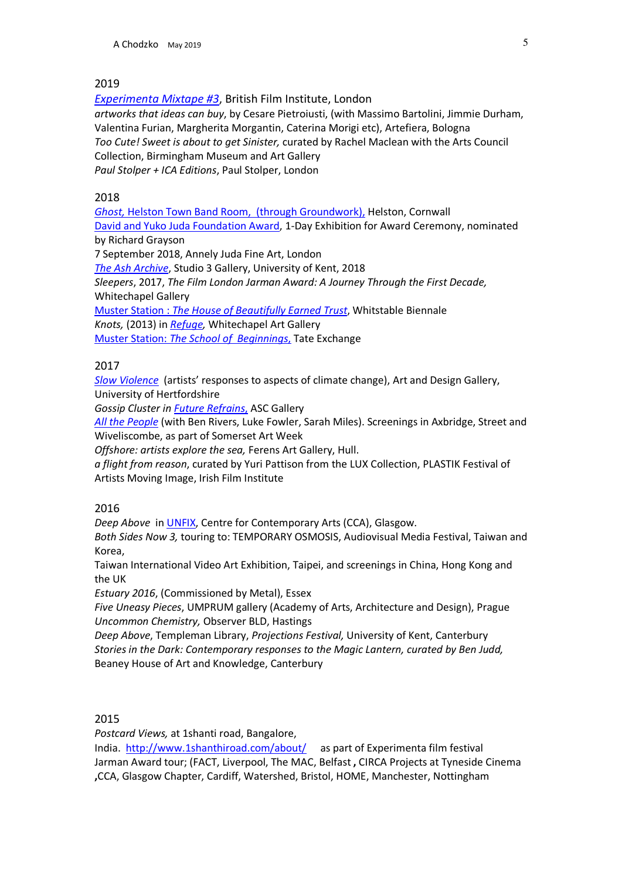*Experimenta Mixtape #3*, British Film Institute, London *artworks that ideas can buy*, by Cesare Pietroiusti, (with Massimo Bartolini, Jimmie Durham, Valentina Furian, Margherita Morgantin, Caterina Morigi etc), Artefiera, Bologna *Too Cute! Sweet is about to get Sinister,* curated by Rachel Maclean with the Arts Council Collection, Birmingham Museum and Art Gallery *Paul Stolper + ICA Editions*, Paul Stolper, London

# 2018

*Ghost,* Helston Town Band Room, (through Groundwork), Helston, Cornwall David and Yuko Juda Foundation Award, 1-Day Exhibition for Award Ceremony, nominated by Richard Grayson 7 September 2018, Annely Juda Fine Art, London *The Ash Archive*, Studio 3 Gallery, University of Kent, 2018 *Sleepers*, 2017, *The Film London Jarman Award: A Journey Through the First Decade,* Whitechapel Gallery Muster Station : *The House of Beautifully Earned Trust*, Whitstable Biennale *Knots,* (2013) in *Refuge,* Whitechapel Art Gallery Muster Station: *The School of Beginnings*, Tate Exchange

# 2017

*Slow Violence* (artists' responses to aspects of climate change), Art and Design Gallery, University of Hertfordshire

*Gossip Cluster in Future Refrains*, ASC Gallery

*All the People* (with Ben Rivers, Luke Fowler, Sarah Miles). Screenings in Axbridge, Street and Wiveliscombe, as part of Somerset Art Week

*Offshore: artists explore the sea,* Ferens Art Gallery, Hull.

*a flight from reason*, curated by Yuri Pattison from the LUX Collection, PLASTIK Festival of Artists Moving Image, Irish Film Institute

#### 2016

*Deep Above* in UNFIX, Centre for Contemporary Arts (CCA), Glasgow.

*Both Sides Now 3,* touring to: TEMPORARY OSMOSIS, Audiovisual Media Festival, Taiwan and Korea,

Taiwan International Video Art Exhibition, Taipei, and screenings in China, Hong Kong and the UK

*Estuary 2016*, (Commissioned by Metal), Essex

*Five Uneasy Pieces*, UMPRUM gallery (Academy of Arts, Architecture and Design), Prague *Uncommon Chemistry,* Observer BLD, Hastings

*Deep Above*, Templeman Library, *Projections Festival,* University of Kent, Canterbury *Stories in the Dark: Contemporary responses to the Magic Lantern, curated by Ben Judd,*  Beaney House of Art and Knowledge, Canterbury

#### 2015

*Postcard Views,* at 1shanti road, Bangalore,

India. http://www.1shanthiroad.com/about/ as part of Experimenta film festival Jarman Award tour; (FACT, Liverpool, The MAC, Belfast **,** CIRCA Projects at Tyneside Cinema **,**CCA, Glasgow Chapter, Cardiff, Watershed, Bristol, HOME, Manchester, Nottingham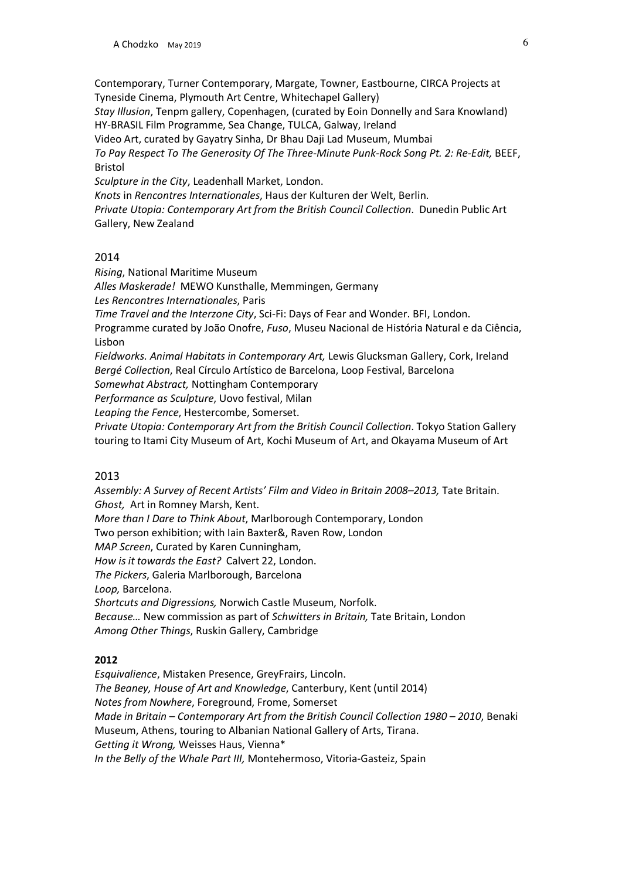Contemporary, Turner Contemporary, Margate, Towner, Eastbourne, CIRCA Projects at Tyneside Cinema, Plymouth Art Centre, Whitechapel Gallery) *Stay Illusion*, Tenpm gallery, Copenhagen, (curated by Eoin Donnelly and Sara Knowland) HY-BRASIL Film Programme, Sea Change, TULCA, Galway, Ireland Video Art, curated by Gayatry Sinha, Dr Bhau Daji Lad Museum, Mumbai *To Pay Respect To The Generosity Of The Three-Minute Punk-Rock Song Pt. 2: Re-Edit,* BEEF, Bristol *Sculpture in the City*, Leadenhall Market, London. *Knots* in *Rencontres Internationales*, Haus der Kulturen der Welt, Berlin. *Private Utopia: Contemporary Art from the British Council Collection*. Dunedin Public Art Gallery, New Zealand

#### 2014

*Rising*, National Maritime Museum *Alles Maskerade!* MEWO Kunsthalle, Memmingen, Germany *Les Rencontres Internationales*, Paris *Time Travel and the Interzone City*, Sci-Fi: Days of Fear and Wonder. BFI, London. Programme curated by João Onofre, *Fuso*, Museu Nacional de História Natural e da Ciência, Lisbon

*Fieldworks. Animal Habitats in Contemporary Art,* Lewis Glucksman Gallery, Cork, Ireland *Bergé Collection*, Real Círculo Artístico de Barcelona, Loop Festival, Barcelona

*Somewhat Abstract,* Nottingham Contemporary

*Performance as Sculpture*, Uovo festival, Milan

*Leaping the Fence*, Hestercombe, Somerset.

*Private Utopia: Contemporary Art from the British Council Collection*. Tokyo Station Gallery touring to Itami City Museum of Art, Kochi Museum of Art, and Okayama Museum of Art

#### 2013

Assembly: A Survey of Recent Artists' Film and Video in Britain 2008-2013, Tate Britain. *Ghost,* Art in Romney Marsh, Kent. *More than I Dare to Think About*, Marlborough Contemporary, London Two person exhibition; with Iain Baxter&, Raven Row, London *MAP Screen*, Curated by Karen Cunningham, *How is it towards the East?* Calvert 22, London. *The Pickers*, Galeria Marlborough, Barcelona *Loop,* Barcelona. *Shortcuts and Digressions,* Norwich Castle Museum, Norfolk. *Because…* New commission as part of *Schwitters in Britain,* Tate Britain, London *Among Other Things*, Ruskin Gallery, Cambridge

#### **2012**

*Esquivalience*, Mistaken Presence, GreyFrairs, Lincoln. *The Beaney, House of Art and Knowledge*, Canterbury, Kent (until 2014) *Notes from Nowhere*, Foreground, Frome, Somerset *Made in Britain – Contemporary Art from the British Council Collection 1980 – 2010*, Benaki Museum, Athens, touring to Albanian National Gallery of Arts, Tirana. *Getting it Wrong,* Weisses Haus, Vienna\* *In the Belly of the Whale Part III,* Montehermoso, Vitoria-Gasteiz, Spain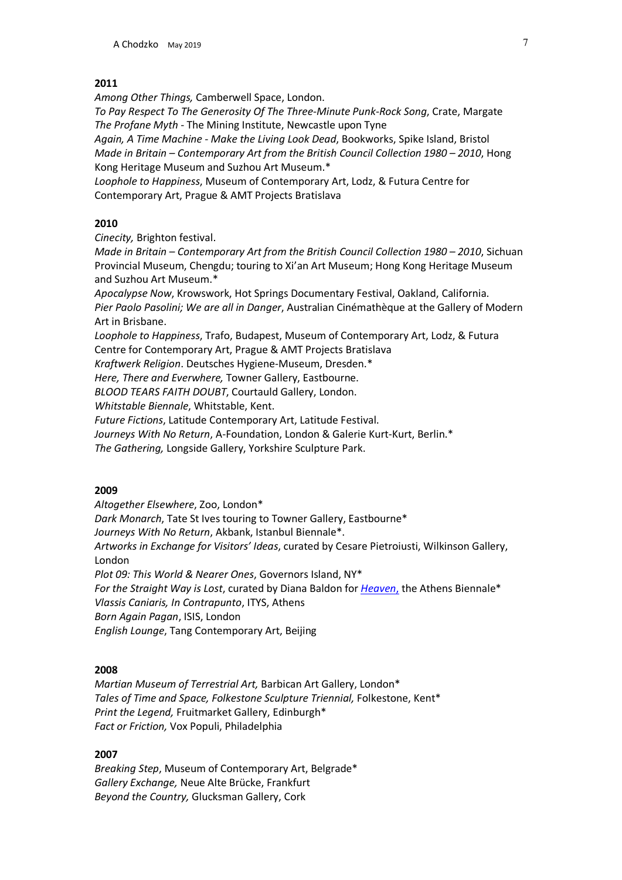*Among Other Things,* Camberwell Space, London.

*To Pay Respect To The Generosity Of The Three-Minute Punk-Rock Song*, Crate, Margate *The Profane Myth* - The Mining Institute, Newcastle upon Tyne

*Again, A Time Machine - Make the Living Look Dead*, Bookworks, Spike Island, Bristol *Made in Britain – Contemporary Art from the British Council Collection 1980 – 2010*, Hong Kong Heritage Museum and Suzhou Art Museum.\*

*Loophole to Happiness*, Museum of Contemporary Art, Lodz, & Futura Centre for Contemporary Art, Prague & AMT Projects Bratislava

#### **2010**

*Cinecity,* Brighton festival.

*Made in Britain – Contemporary Art from the British Council Collection 1980 – 2010*, Sichuan Provincial Museum, Chengdu; touring to Xi'an Art Museum; Hong Kong Heritage Museum and Suzhou Art Museum.\*

*Apocalypse Now*, Krowswork, Hot Springs Documentary Festival, Oakland, California. *Pier Paolo Pasolini; We are all in Danger*, Australian Cinémathèque at the Gallery of Modern Art in Brisbane.

*Loophole to Happiness*, Trafo, Budapest, Museum of Contemporary Art, Lodz, & Futura Centre for Contemporary Art, Prague & AMT Projects Bratislava

*Kraftwerk Religion*. Deutsches Hygiene-Museum, Dresden.\*

*Here, There and Everwhere,* Towner Gallery, Eastbourne.

*BLOOD TEARS FAITH DOUBT*, Courtauld Gallery, London.

*Whitstable Biennale*, Whitstable, Kent.

*Future Fictions*, Latitude Contemporary Art, Latitude Festival.

*Journeys With No Return*, A-Foundation, London & Galerie Kurt-Kurt, Berlin.\*

*The Gathering,* Longside Gallery, Yorkshire Sculpture Park.

#### **2009**

*Altogether Elsewhere*, Zoo, London\*

*Dark Monarch*, Tate St Ives touring to Towner Gallery, Eastbourne\*

*Journeys With No Return*, Akbank, Istanbul Biennale\*.

*Artworks in Exchange for Visitors' Ideas*, curated by Cesare Pietroiusti, Wilkinson Gallery, London

*Plot 09: This World & Nearer Ones*, Governors Island, NY\*

*For the Straight Way is Lost*, curated by Diana Baldon for *Heaven*, the Athens Biennale\*

*Vlassis Caniaris, In Contrapunto*, ITYS, Athens

*Born Again Pagan*, ISIS, London

*English Lounge*, Tang Contemporary Art, Beijing

#### **2008**

*Martian Museum of Terrestrial Art,* Barbican Art Gallery, London\* *Tales of Time and Space, Folkestone Sculpture Triennial,* Folkestone, Kent\* *Print the Legend,* Fruitmarket Gallery, Edinburgh\* *Fact or Friction,* Vox Populi, Philadelphia

#### **2007**

*Breaking Step*, Museum of Contemporary Art, Belgrade\* *Gallery Exchange,* Neue Alte Brücke, Frankfurt *Beyond the Country,* Glucksman Gallery, Cork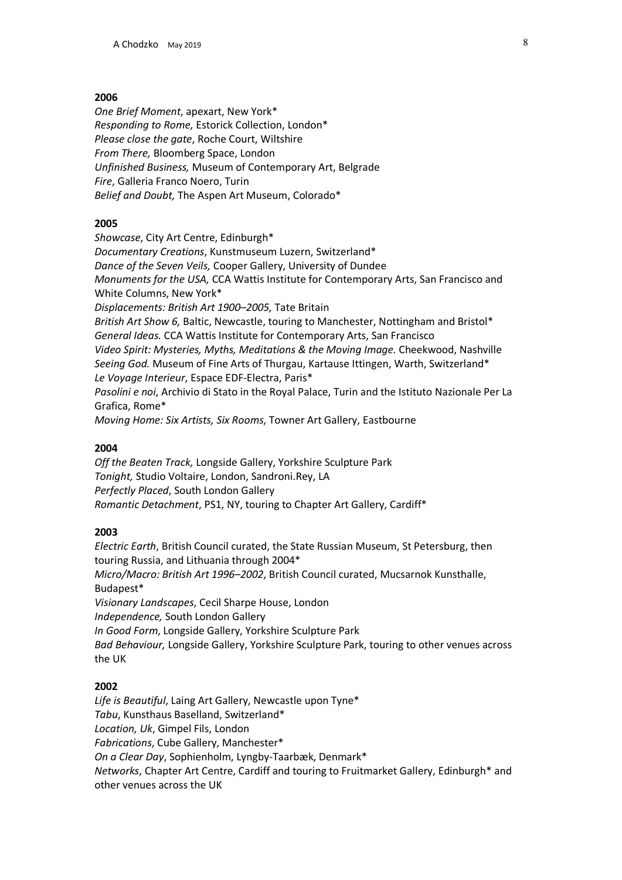*One Brief Moment*, apexart, New York\* *Responding to Rome,* Estorick Collection, London\* *Please close the gate*, Roche Court, Wiltshire *From There,* Bloomberg Space, London *Unfinished Business,* Museum of Contemporary Art, Belgrade *Fire*, Galleria Franco Noero, Turin *Belief and Doubt,* The Aspen Art Museum, Colorado\*

#### **2005**

*Showcase*, City Art Centre, Edinburgh\* *Documentary Creations*, Kunstmuseum Luzern, Switzerland\* *Dance of the Seven Veils,* Cooper Gallery, University of Dundee *Monuments for the USA,* CCA Wattis Institute for Contemporary Arts, San Francisco and White Columns, New York\* *Displacements: British Art 1900–2005,* Tate Britain *British Art Show 6,* Baltic, Newcastle, touring to Manchester, Nottingham and Bristol\* *General Ideas.* CCA Wattis Institute for Contemporary Arts, San Francisco *Video Spirit: Mysteries, Myths, Meditations & the Moving Image.* Cheekwood, Nashville *Seeing God.* Museum of Fine Arts of Thurgau, Kartause Ittingen, Warth, Switzerland\* *Le Voyage Interieur*, Espace EDF-Electra, Paris\* *Pasolini e noi*, Archivio di Stato in the Royal Palace, Turin and the Istituto Nazionale Per La Grafica, Rome\* *Moving Home: Six Artists, Six Rooms*, Towner Art Gallery, Eastbourne

#### **2004**

*Off the Beaten Track,* Longside Gallery, Yorkshire Sculpture Park *Tonight,* Studio Voltaire, London, Sandroni.Rey, LA *Perfectly Placed*, South London Gallery *Romantic Detachment*, PS1, NY, touring to Chapter Art Gallery, Cardiff\*

#### **2003**

*Electric Earth*, British Council curated, the State Russian Museum, St Petersburg, then touring Russia, and Lithuania through 2004\* *Micro/Macro: British Art 1996–2002*, British Council curated, Mucsarnok Kunsthalle, Budapest\* *Visionary Landscapes*, Cecil Sharpe House, London *Independence,* South London Gallery *In Good Form*, Longside Gallery, Yorkshire Sculpture Park *Bad Behaviour,* Longside Gallery, Yorkshire Sculpture Park, touring to other venues across the UK

#### **2002**

*Life is Beautiful*, Laing Art Gallery, Newcastle upon Tyne\* *Tabu*, Kunsthaus Baselland, Switzerland\* *Location, Uk*, Gimpel Fils, London *Fabrications*, Cube Gallery, Manchester\* *On a Clear Day*, Sophienholm, Lyngby-Taarbæk, Denmark\* *Networks*, Chapter Art Centre, Cardiff and touring to Fruitmarket Gallery, Edinburgh\* and other venues across the UK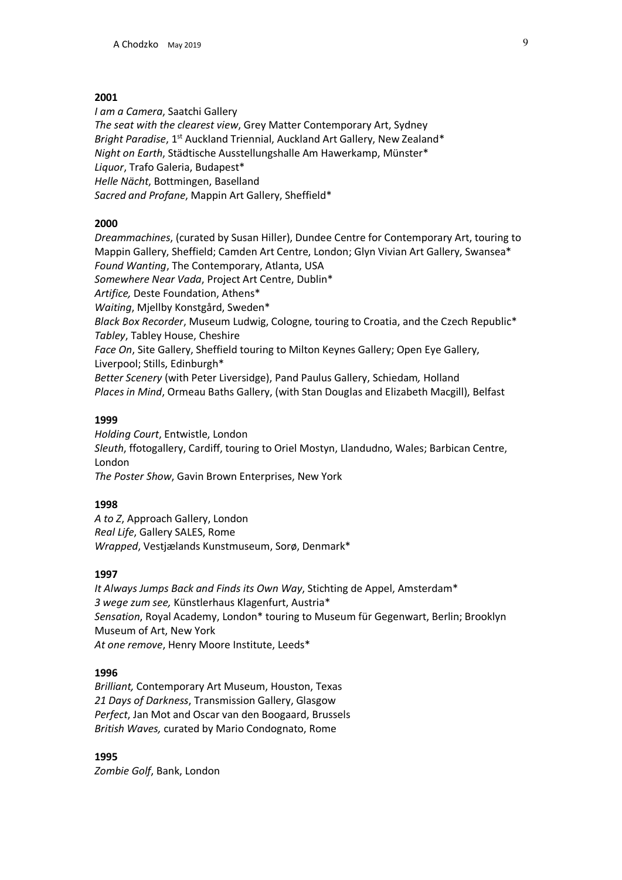*I am a Camera*, Saatchi Gallery *The seat with the clearest view*, Grey Matter Contemporary Art, Sydney *Bright Paradise,* 1<sup>st</sup> Auckland Triennial, Auckland Art Gallery, New Zealand\* *Night on Earth*, Städtische Ausstellungshalle Am Hawerkamp, Münster\* *Liquor*, Trafo Galeria, Budapest\* *Helle Nächt*, Bottmingen, Baselland *Sacred and Profane*, Mappin Art Gallery, Sheffield\*

#### **2000**

*Dreammachines*, (curated by Susan Hiller), Dundee Centre for Contemporary Art, touring to Mappin Gallery, Sheffield; Camden Art Centre, London; Glyn Vivian Art Gallery, Swansea\* *Found Wanting*, The Contemporary, Atlanta, USA *Somewhere Near Vada*, Project Art Centre, Dublin\* *Artifice,* Deste Foundation, Athens\* *Waiting*, Mjellby Konstgård, Sweden\* *Black Box Recorder*, Museum Ludwig, Cologne, touring to Croatia, and the Czech Republic\* *Tabley*, Tabley House, Cheshire *Face On*, Site Gallery, Sheffield touring to Milton Keynes Gallery; Open Eye Gallery, Liverpool; Stills, Edinburgh\* *Better Scenery* (with Peter Liversidge), Pand Paulus Gallery, Schiedam*,* Holland *Places in Mind*, Ormeau Baths Gallery, (with Stan Douglas and Elizabeth Macgill), Belfast

#### **1999**

*Holding Court*, Entwistle, London *Sleuth*, ffotogallery, Cardiff, touring to Oriel Mostyn, Llandudno, Wales; Barbican Centre, London *The Poster Show*, Gavin Brown Enterprises, New York

#### **1998**

*A to Z*, Approach Gallery, London *Real Life*, Gallery SALES, Rome *Wrapped*, Vestjælands Kunstmuseum, Sorø, Denmark\*

#### **1997**

*It Always Jumps Back and Finds its Own Way*, Stichting de Appel, Amsterdam\* *3 wege zum see,* Künstlerhaus Klagenfurt, Austria\* *Sensation*, Royal Academy, London\* touring to Museum für Gegenwart, Berlin; Brooklyn Museum of Art, New York *At one remove*, Henry Moore Institute, Leeds\*

#### **1996**

*Brilliant,* Contemporary Art Museum, Houston, Texas *21 Days of Darkness*, Transmission Gallery, Glasgow *Perfect*, Jan Mot and Oscar van den Boogaard, Brussels *British Waves,* curated by Mario Condognato, Rome

**1995** *Zombie Golf*, Bank, London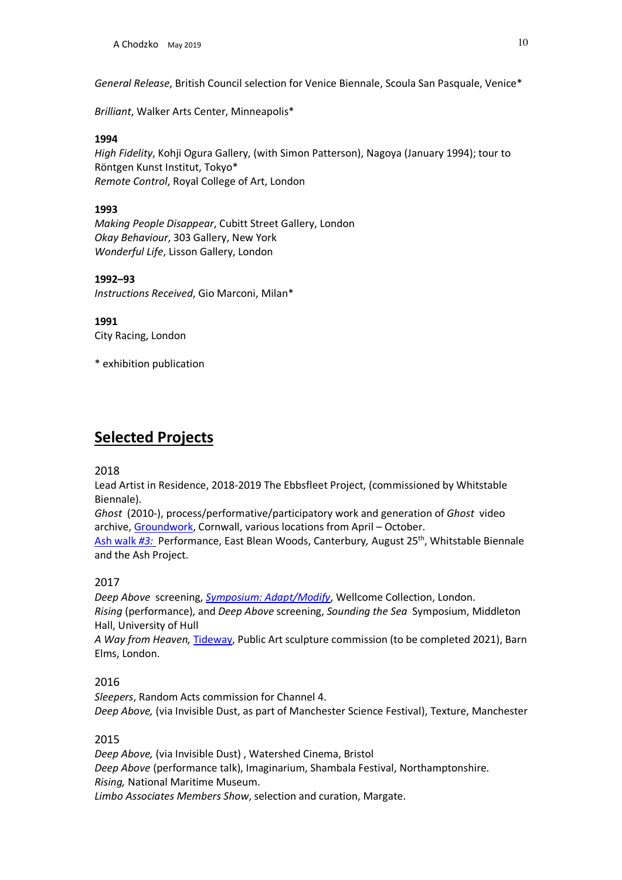*General Release*, British Council selection for Venice Biennale, Scoula San Pasquale, Venice\*

*Brilliant*, Walker Arts Center, Minneapolis\*

#### **1994**

*High Fidelity*, Kohji Ogura Gallery, (with Simon Patterson), Nagoya (January 1994); tour to Röntgen Kunst Institut, Tokyo\* *Remote Control*, Royal College of Art, London

# **1993**

*Making People Disappear*, Cubitt Street Gallery, London *Okay Behaviour*, 303 Gallery, New York *Wonderful Life*, Lisson Gallery, London

#### **1992–93**

*Instructions Received*, Gio Marconi, Milan\*

#### **1991**

City Racing, London

\* exhibition publication

# **Selected Projects**

#### 2018

Lead Artist in Residence, 2018-2019 The Ebbsfleet Project, (commissioned by Whitstable Biennale).

*Ghost* (2010-), process/performative/participatory work and generation of *Ghost* video archive, Groundwork, Cornwall, various locations from April – October.

Ash walk #3: Performance, East Blean Woods, Canterbury, August 25<sup>th</sup>, Whitstable Biennale and the Ash Project.

# 2017

*Deep Above* screening, *Symposium: Adapt/Modify*, Wellcome Collection, London. *Rising* (performance), and *Deep Above* screening, *Sounding the Sea* Symposium, Middleton Hall, University of Hull

*A Way from Heaven,* Tideway, Public Art sculpture commission (to be completed 2021), Barn Elms, London.

# 2016

*Sleepers*, Random Acts commission for Channel 4. *Deep Above,* (via Invisible Dust, as part of Manchester Science Festival), Texture, Manchester

# 2015

*Deep Above,* (via Invisible Dust) , Watershed Cinema, Bristol *Deep Above* (performance talk), Imaginarium, Shambala Festival, Northamptonshire. *Rising,* National Maritime Museum. *Limbo Associates Members Show*, selection and curation, Margate.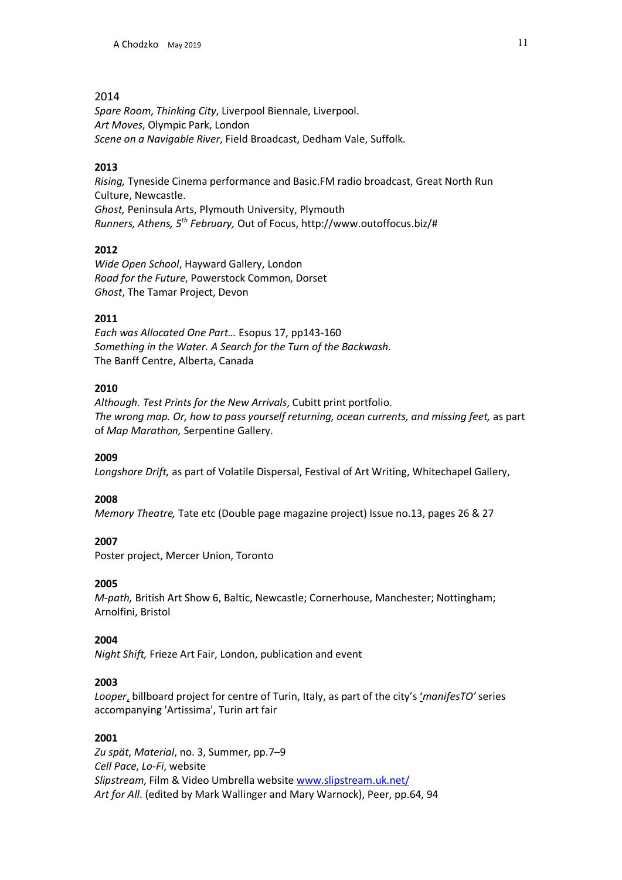*Spare Room*, *Thinking City*, Liverpool Biennale, Liverpool. *Art Moves*, Olympic Park, London *Scene on a Navigable River*, Field Broadcast, Dedham Vale, Suffolk.

# **2013**

*Rising,* Tyneside Cinema performance and Basic.FM radio broadcast, Great North Run Culture, Newcastle. *Ghost,* Peninsula Arts, Plymouth University, Plymouth *Runners, Athens, 5th February,* Out of Focus, http://www.outoffocus.biz/#

# **2012**

*Wide Open School*, Hayward Gallery, London *Road for the Future*, Powerstock Common, Dorset *Ghost*, The Tamar Project, Devon

# **2011**

*Each was Allocated One Part…* Esopus 17, pp143-160 *Something in the Water. A Search for the Turn of the Backwash.* The Banff Centre, Alberta, Canada

# **2010**

*Although. Test Prints for the New Arrivals*, Cubitt print portfolio. *The wrong map. Or, how to pass yourself returning, ocean currents, and missing feet,* as part of *Map Marathon,* Serpentine Gallery.

#### **2009**

*Longshore Drift,* as part of Volatile Dispersal, Festival of Art Writing, Whitechapel Gallery,

#### **2008**

*Memory Theatre,* Tate etc (Double page magazine project) Issue no.13, pages 26 & 27

#### **2007**

Poster project, Mercer Union, Toronto

#### **2005**

*M-path,* British Art Show 6, Baltic, Newcastle; Cornerhouse, Manchester; Nottingham; Arnolfini, Bristol

#### **2004**

*Night Shift,* Frieze Art Fair, London, publication and event

#### **2003**

*Looper*, billboard project for centre of Turin, Italy, as part of the city's '*manifesTO'* series accompanying 'Artissima', Turin art fair

#### **2001**

*Zu spät*, *Material*, no. 3, Summer, pp.7–9 *Cell Pace*, *Lo-Fi*, website *Slipstream*, Film & Video Umbrella website www.slipstream.uk.net/ *Art for All*. (edited by Mark Wallinger and Mary Warnock), Peer, pp.64, 94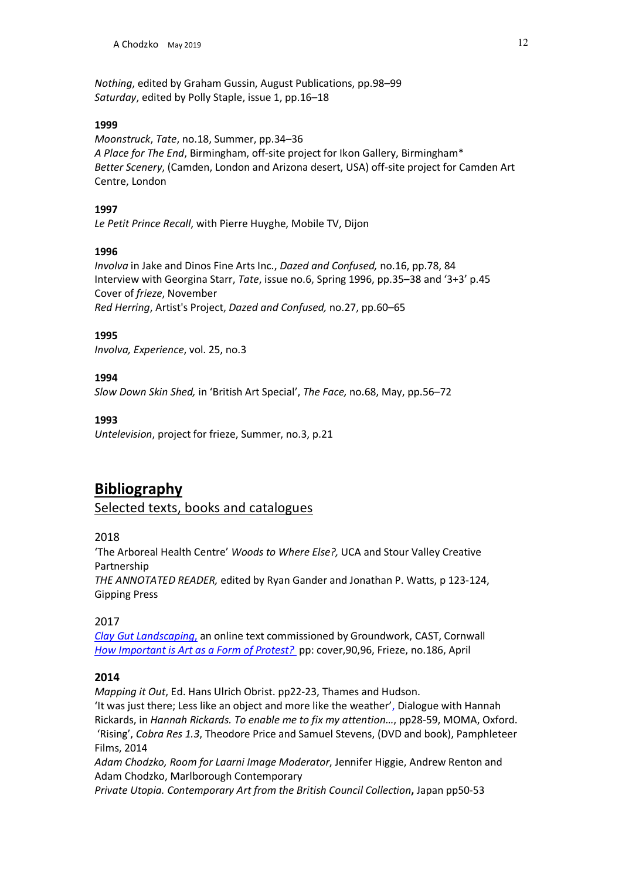*Nothing*, edited by Graham Gussin, August Publications, pp.98–99 *Saturday*, edited by Polly Staple, issue 1, pp.16–18

#### **1999**

*Moonstruck*, *Tate*, no.18, Summer, pp.34–36 *A Place for The End*, Birmingham, off-site project for Ikon Gallery, Birmingham\* *Better Scenery*, (Camden, London and Arizona desert, USA) off-site project for Camden Art Centre, London

#### **1997**

*Le Petit Prince Recall*, with Pierre Huyghe, Mobile TV, Dijon

#### **1996**

*Involva* in Jake and Dinos Fine Arts Inc., *Dazed and Confused,* no.16, pp.78, 84 Interview with Georgina Starr, *Tate*, issue no.6, Spring 1996, pp.35–38 and '3+3' p.45 Cover of *frieze*, November *Red Herring*, Artist's Project, *Dazed and Confused,* no.27, pp.60–65

# **1995**

*Involva, Experience*, vol. 25, no.3

# **1994**

*Slow Down Skin Shed,* in 'British Art Special', *The Face,* no.68, May, pp.56–72

# **1993**

*Untelevision*, project for frieze, Summer, no.3, p.21

# **Bibliography**

Selected texts, books and catalogues

# 2018

'The Arboreal Health Centre' *Woods to Where Else?,* UCA and Stour Valley Creative Partnership

*THE ANNOTATED READER,* edited by Ryan Gander and Jonathan P. Watts, p 123-124, Gipping Press

2017

*Clay Gut Landscaping*, an online text commissioned by Groundwork, CAST, Cornwall *How Important is Art as a Form of Protest?* pp: cover,90,96, Frieze, no.186, April

# **2014**

*Mapping it Out*, Ed. Hans Ulrich Obrist. pp22-23, Thames and Hudson. 'It was just there; Less like an object and more like the weather', Dialogue with Hannah Rickards, in *Hannah Rickards. To enable me to fix my attention…*, pp28-59, MOMA, Oxford. 'Rising', *Cobra Res 1.3*, Theodore Price and Samuel Stevens, (DVD and book), Pamphleteer Films, 2014

*Adam Chodzko, Room for Laarni Image Moderator*, Jennifer Higgie, Andrew Renton and Adam Chodzko, Marlborough Contemporary

*Private Utopia. Contemporary Art from the British Council Collection***,** Japan pp50-53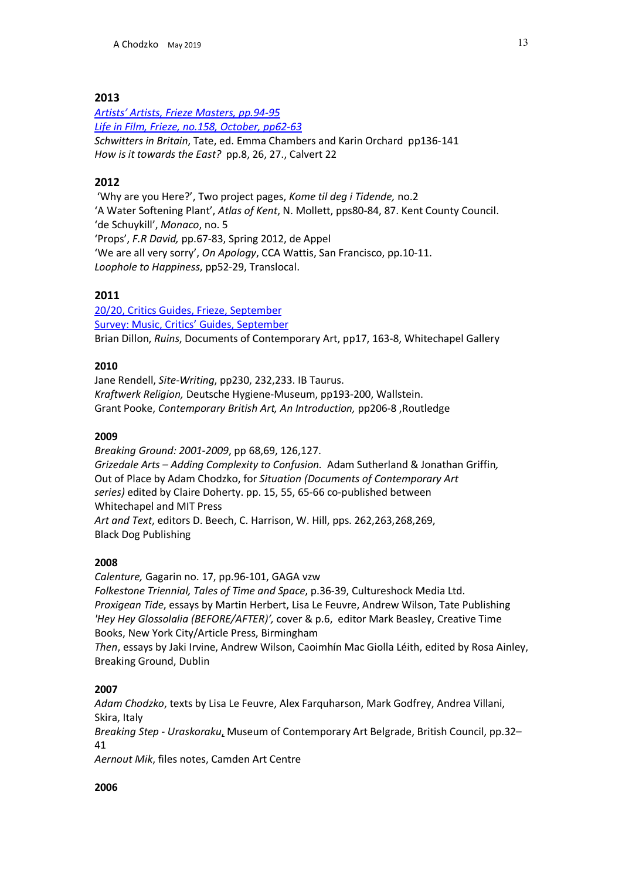*Artists' Artists, Frieze Masters, pp.94-95 Life in Film, Frieze, no.158, October, pp62-63 Schwitters in Britain*, Tate, ed. Emma Chambers and Karin Orchard pp136-141 *How is it towards the East?* pp.8, 26, 27., Calvert 22

# **2012**

'Why are you Here?', Two project pages, *Kome til deg i Tidende,* no.2 'A Water Softening Plant', *Atlas of Kent*, N. Mollett, pps80-84, 87. Kent County Council. 'de Schuykill', *Monaco*, no. 5 'Props', *F.R David,* pp.67-83, Spring 2012, de Appel 'We are all very sorry', *On Apology*, CCA Wattis, San Francisco, pp.10-11. *Loophole to Happiness*, pp52-29, Translocal.

# **2011**

20/20, Critics Guides, Frieze, September Survey: Music, Critics' Guides, September Brian Dillon, *Ruins*, Documents of Contemporary Art, pp17, 163-8, Whitechapel Gallery

# **2010**

Jane Rendell, *Site-Writing*, pp230, 232,233. IB Taurus. *Kraftwerk Religion,* Deutsche Hygiene-Museum, pp193-200, Wallstein. Grant Pooke, *Contemporary British Art, An Introduction,* pp206-8 ,Routledge

# **2009**

*Breaking Ground: 2001-2009*, pp 68,69, 126,127. *Grizedale Arts – Adding Complexity to Confusion.* Adam Sutherland & Jonathan Griffin*,* Out of Place by Adam Chodzko, for *Situation (Documents of Contemporary Art series)* edited by Claire Doherty. pp. 15, 55, 65-66 co-published between Whitechapel and MIT Press *Art and Text*, editors D. Beech, C. Harrison, W. Hill, pps. 262,263,268,269, Black Dog Publishing

# **2008**

*Calenture,* Gagarin no. 17, pp.96-101, GAGA vzw *Folkestone Triennial, Tales of Time and Space*, p.36-39, Cultureshock Media Ltd. *Proxigean Tide*, essays by Martin Herbert, Lisa Le Feuvre, Andrew Wilson, Tate Publishing *'Hey Hey Glossolalia (BEFORE/AFTER)',* cover & p.6, editor Mark Beasley, Creative Time Books, New York City/Article Press, Birmingham

*Then*, essays by Jaki Irvine, Andrew Wilson, Caoimhín Mac Giolla Léith, edited by Rosa Ainley, Breaking Ground, Dublin

# **2007**

*Adam Chodzko*, texts by Lisa Le Feuvre, Alex Farquharson, Mark Godfrey, Andrea Villani, Skira, Italy

*Breaking Step - Uraskoraku*, Museum of Contemporary Art Belgrade, British Council, pp.32– 41

*Aernout Mik*, files notes, Camden Art Centre

# **2006**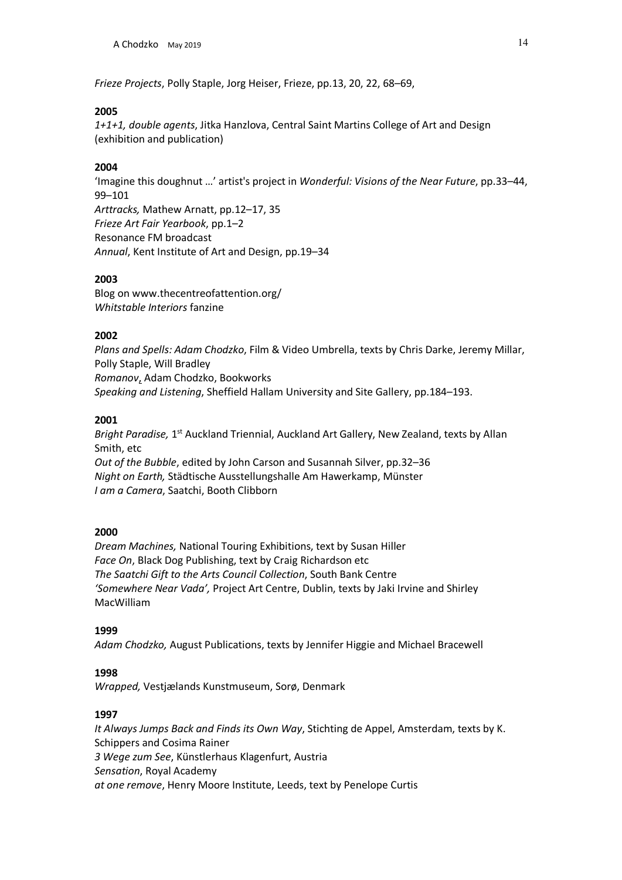*Frieze Projects*, Polly Staple, Jorg Heiser, Frieze, pp.13, 20, 22, 68–69,

#### **2005**

*1+1+1, double agents*, Jitka Hanzlova, Central Saint Martins College of Art and Design (exhibition and publication)

# **2004**

'Imagine this doughnut …' artist's project in *Wonderful: Visions of the Near Future*, pp.33–44, 99–101 *Arttracks,* Mathew Arnatt, pp.12–17, 35 *Frieze Art Fair Yearbook*, pp.1–2 Resonance FM broadcast *Annual*, Kent Institute of Art and Design, pp.19–34

# **2003**

Blog on www.thecentreofattention.org/ *Whitstable Interiors* fanzine

# **2002**

*Plans and Spells: Adam Chodzko*, Film & Video Umbrella, texts by Chris Darke, Jeremy Millar, Polly Staple, Will Bradley *Romanov*, Adam Chodzko, Bookworks *Speaking and Listening*, Sheffield Hallam University and Site Gallery, pp.184–193.

# **2001**

*Bright Paradise,* 1st Auckland Triennial, Auckland Art Gallery, New Zealand, texts by Allan Smith, etc *Out of the Bubble*, edited by John Carson and Susannah Silver, pp.32–36 *Night on Earth,* Städtische Ausstellungshalle Am Hawerkamp, Münster *I am a Camera*, Saatchi, Booth Clibborn

# **2000**

*Dream Machines,* National Touring Exhibitions, text by Susan Hiller *Face On*, Black Dog Publishing, text by Craig Richardson etc *The Saatchi Gift to the Arts Council Collection*, South Bank Centre *'Somewhere Near Vada',* Project Art Centre, Dublin, texts by Jaki Irvine and Shirley MacWilliam

#### **1999**

*Adam Chodzko,* August Publications, texts by Jennifer Higgie and Michael Bracewell

# **1998**

*Wrapped,* Vestjælands Kunstmuseum, Sorø, Denmark

# **1997**

*It Always Jumps Back and Finds its Own Way*, Stichting de Appel, Amsterdam, texts by K. Schippers and Cosima Rainer *3 Wege zum See*, Künstlerhaus Klagenfurt, Austria *Sensation*, Royal Academy *at one remove*, Henry Moore Institute, Leeds, text by Penelope Curtis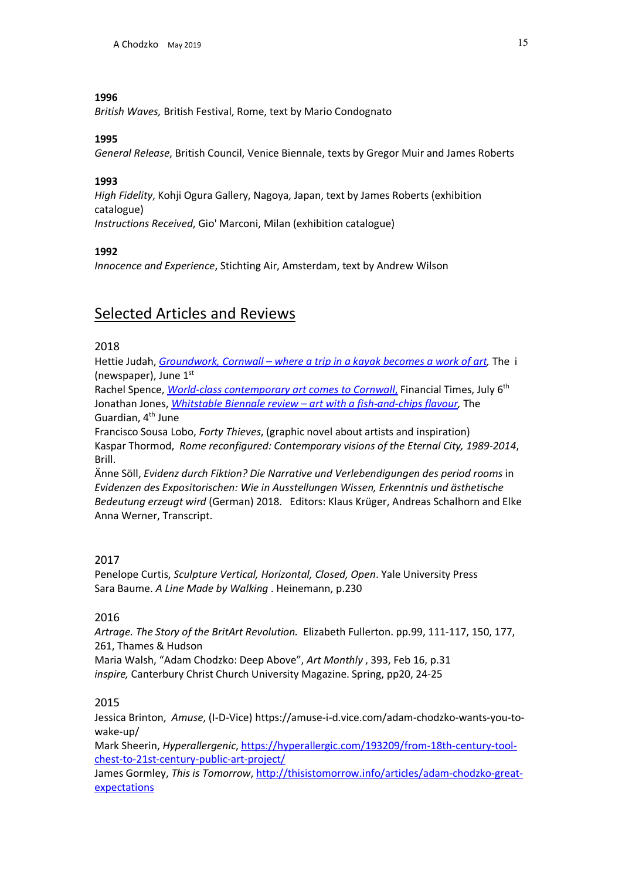*British Waves,* British Festival, Rome, text by Mario Condognato

# **1995**

*General Release*, British Council, Venice Biennale, texts by Gregor Muir and James Roberts

# **1993**

*High Fidelity*, Kohji Ogura Gallery, Nagoya, Japan, text by James Roberts (exhibition catalogue) *Instructions Received*, Gio' Marconi, Milan (exhibition catalogue)

# **1992**

*Innocence and Experience*, Stichting Air, Amsterdam, text by Andrew Wilson

# Selected Articles and Reviews

# 2018

Hettie Judah, *Groundwork, Cornwall – where a trip in a kayak becomes a work of art,* Thei (newspaper), June  $1<sup>st</sup>$ 

Rachel Spence, *World-class contemporary art comes to Cornwall*, Financial Times, July 6th Jonathan Jones, *Whitstable Biennale review – art with a fish-and-chips flavour,* The Guardian, 4<sup>th</sup> June

Francisco Sousa Lobo, *Forty Thieves*, (graphic novel about artists and inspiration) Kaspar Thormod, *Rome reconfigured: Contemporary visions of the Eternal City, 1989-2014*, Brill.

Änne Söll, *Evidenz durch Fiktion? Die Narrative und Verlebendigungen des period rooms* in *Evidenzen des Expositorischen: Wie in Ausstellungen Wissen, Erkenntnis und ästhetische Bedeutung erzeugt wird* (German) 2018. Editors: Klaus Krüger, Andreas Schalhorn and Elke Anna Werner, Transcript.

# 2017

Penelope Curtis, *Sculpture Vertical, Horizontal, Closed, Open*. Yale University Press Sara Baume. *A Line Made by Walking* . Heinemann, p.230

# 2016

*Artrage. The Story of the BritArt Revolution.* Elizabeth Fullerton. pp.99, 111-117, 150, 177, 261, Thames & Hudson

Maria Walsh, "Adam Chodzko: Deep Above", *Art Monthly* , 393, Feb 16, p.31 *inspire,* Canterbury Christ Church University Magazine. Spring, pp20, 24-25

# 2015

Jessica Brinton, *Amuse*, (I-D-Vice) https://amuse-i-d.vice.com/adam-chodzko-wants-you-towake-up/

Mark Sheerin, *Hyperallergenic*, https://hyperallergic.com/193209/from-18th-century-toolchest-to-21st-century-public-art-project/

James Gormley, *This is Tomorrow*, http://thisistomorrow.info/articles/adam-chodzko-greatexpectations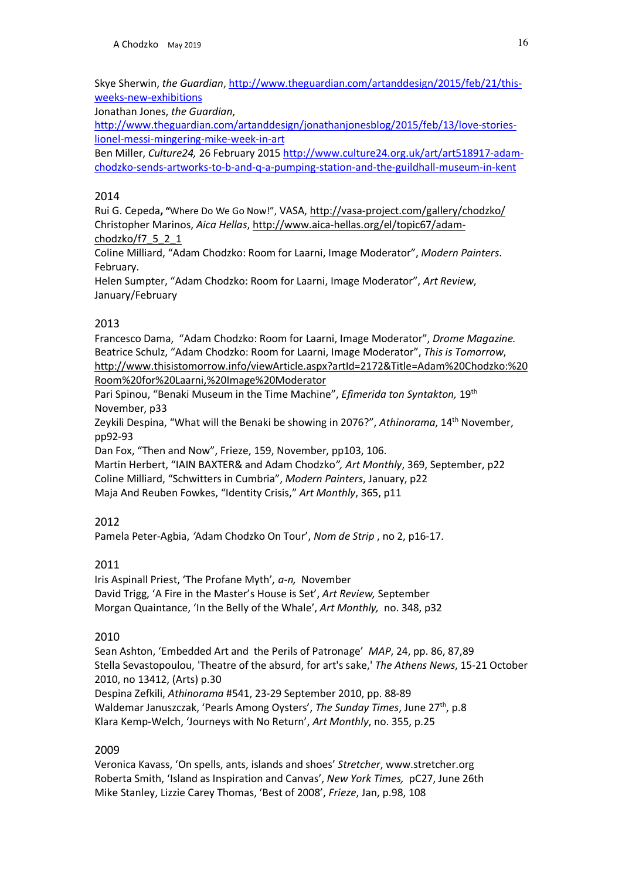Skye Sherwin, *the Guardian*, http://www.theguardian.com/artanddesign/2015/feb/21/thisweeks-new-exhibitions

Jonathan Jones, *the Guardian*,

http://www.theguardian.com/artanddesign/jonathanjonesblog/2015/feb/13/love-storieslionel-messi-mingering-mike-week-in-art

Ben Miller, *Culture24,* 26 February 2015 http://www.culture24.org.uk/art/art518917-adamchodzko-sends-artworks-to-b-and-q-a-pumping-station-and-the-guildhall-museum-in-kent

# 2014

Rui G. Cepeda**, "**Where Do We Go Now!", VASA, http://vasa-project.com/gallery/chodzko/ Christopher Marinos, *Aica Hellas*, http://www.aica-hellas.org/el/topic67/adamchodzko/f7\_5\_2\_1

Coline Milliard, "Adam Chodzko: Room for Laarni, Image Moderator", *Modern Painters*. February.

Helen Sumpter, "Adam Chodzko: Room for Laarni, Image Moderator", *Art Review*, January/February

# 2013

Francesco Dama, "Adam Chodzko: Room for Laarni, Image Moderator", *Drome Magazine.* Beatrice Schulz, "Adam Chodzko: Room for Laarni, Image Moderator", *This is Tomorrow*, http://www.thisistomorrow.info/viewArticle.aspx?artId=2172&Title=Adam%20Chodzko:%20 Room%20for%20Laarni,%20Image%20Moderator

Pari Spinou, "Benaki Museum in the Time Machine", *Efimerida ton Syntakton,* 19th November, p33

Zeykili Despina, "What will the Benaki be showing in 2076?", *Athinorama*, 14th November, pp92-93

Dan Fox, "Then and Now", Frieze, 159, November, pp103, 106.

Martin Herbert, "IAIN BAXTER& and Adam Chodzko*", Art Monthly*, 369, September, p22 Coline Milliard, "Schwitters in Cumbria", *Modern Painters*, January, p22 Maja And Reuben Fowkes, "Identity Crisis," *Art Monthly*, 365, p11

# 2012

Pamela Peter-Agbia, *'*Adam Chodzko On Tour', *Nom de Strip* , no 2, p16-17.

# 2011

Iris Aspinall Priest, 'The Profane Myth'*, a-n,* November David Trigg, 'A Fire in the Master's House is Set', *Art Review,* September Morgan Quaintance, 'In the Belly of the Whale', *Art Monthly,* no. 348, p32

# 2010

Sean Ashton, 'Embedded Art and the Perils of Patronage' *MAP*, 24, pp. 86, 87,89 Stella Sevastopoulou, 'Theatre of the absurd, for art's sake,' *The Athens News*, 15-21 October 2010, no 13412, (Arts) p.30 Despina Zefkili, *Athinorama* #541, 23-29 September 2010, pp. 88-89 Waldemar Januszczak, 'Pearls Among Oysters', *The Sunday Times*, June 27th, p.8 Klara Kemp-Welch, 'Journeys with No Return', *Art Monthly*, no. 355, p.25

# 2009

Veronica Kavass, 'On spells, ants, islands and shoes' *Stretcher*, www.stretcher.org Roberta Smith, 'Island as Inspiration and Canvas', *New York Times,* pC27, June 26th Mike Stanley, Lizzie Carey Thomas, 'Best of 2008', *Frieze*, Jan, p.98, 108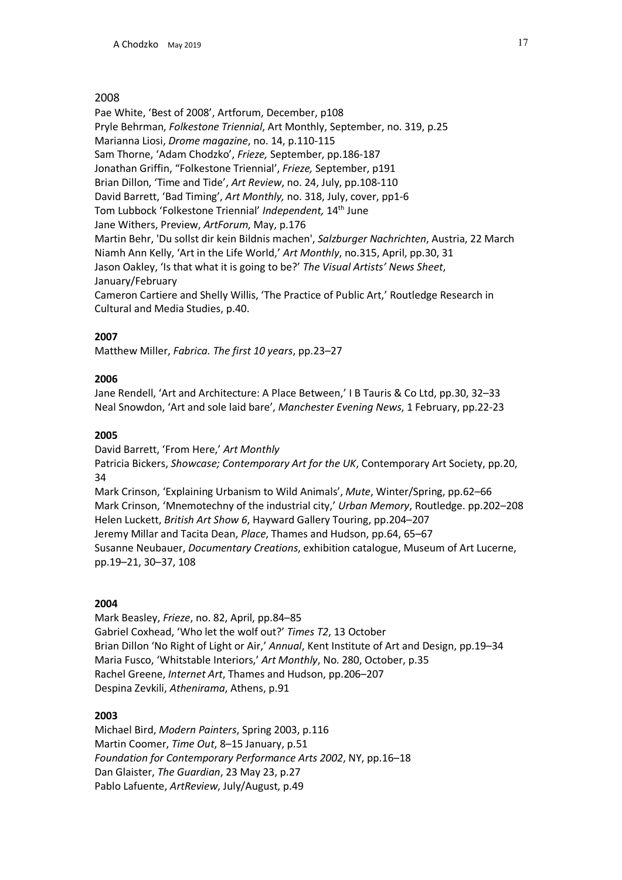Pae White, 'Best of 2008', Artforum, December, p108 Pryle Behrman, *Folkestone Triennial*, Art Monthly, September, no. 319, p.25 Marianna Liosi, *Drome magazine*, no. 14, p.110-115 Sam Thorne, 'Adam Chodzko', *Frieze,* September, pp.186-187 Jonathan Griffin, "Folkestone Triennial', *Frieze,* September, p191 Brian Dillon, 'Time and Tide', *Art Review*, no. 24, July, pp.108-110 David Barrett, 'Bad Timing', *Art Monthly,* no. 318, July, cover, pp1-6 Tom Lubbock 'Folkestone Triennial' *Independent,* 14th June Jane Withers, Preview, *ArtForum*, May, p.176 Martin Behr, 'Du sollst dir kein Bildnis machen', *Salzburger Nachrichten*, Austria, 22 March Niamh Ann Kelly, 'Art in the Life World,' *Art Monthly*, no.315, April, pp.30, 31 Jason Oakley, 'Is that what it is going to be?' *The Visual Artists' News Sheet*, January/February Cameron Cartiere and Shelly Willis, 'The Practice of Public Art,' Routledge Research in Cultural and Media Studies, p.40.

# **2007**

Matthew Miller, *Fabrica. The first 10 years*, pp.23–27

# **2006**

Jane Rendell, 'Art and Architecture: A Place Between,' I B Tauris & Co Ltd, pp.30, 32–33 Neal Snowdon, 'Art and sole laid bare', *Manchester Evening News*, 1 February, pp.22-23

# **2005**

David Barrett, 'From Here,' *Art Monthly*

Patricia Bickers, *Showcase; Contemporary Art for the UK*, Contemporary Art Society, pp.20, 34

Mark Crinson, 'Explaining Urbanism to Wild Animals', *Mute*, Winter/Spring, pp.62–66 Mark Crinson, 'Mnemotechny of the industrial city,' *Urban Memory*, Routledge. pp.202–208 Helen Luckett, *British Art Show 6*, Hayward Gallery Touring, pp.204–207 Jeremy Millar and Tacita Dean, *Place*, Thames and Hudson, pp.64, 65–67 Susanne Neubauer, *Documentary Creations*, exhibition catalogue, Museum of Art Lucerne, pp.19–21, 30–37, 108

# **2004**

Mark Beasley, *Frieze*, no. 82, April, pp.84–85 Gabriel Coxhead, 'Who let the wolf out?' *Times T2*, 13 October Brian Dillon 'No Right of Light or Air,' *Annual*, Kent Institute of Art and Design, pp.19–34 Maria Fusco, 'Whitstable Interiors,' *Art Monthly*, No. 280, October, p.35 Rachel Greene, *Internet Art*, Thames and Hudson, pp.206–207 Despina Zevkili, *Athenirama*, Athens, p.91

#### **2003**

Michael Bird, *Modern Painters*, Spring 2003, p.116 Martin Coomer, *Time Out*, 8–15 January, p.51 *Foundation for Contemporary Performance Arts 2002*, NY, pp.16–18 Dan Glaister, *The Guardian*, 23 May 23, p.27 Pablo Lafuente, *ArtReview*, July/August, p.49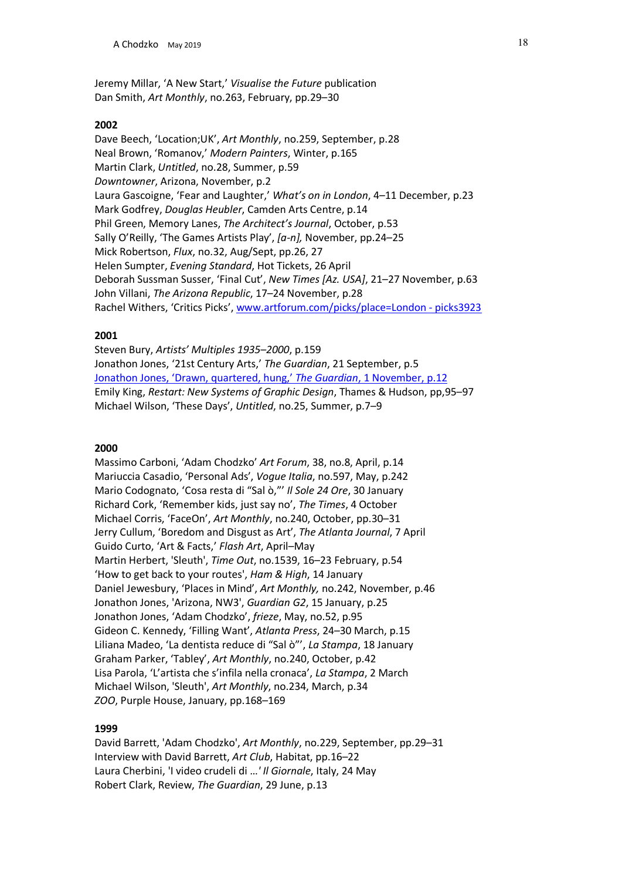Jeremy Millar, 'A New Start,' *Visualise the Future* publication Dan Smith, *Art Monthly*, no.263, February, pp.29–30

#### **2002**

Dave Beech, 'Location;UK', *Art Monthly*, no.259, September, p.28 Neal Brown, 'Romanov,' *Modern Painters*, Winter, p.165 Martin Clark, *Untitled*, no.28, Summer, p.59 *Downtowner*, Arizona, November, p.2 Laura Gascoigne, 'Fear and Laughter,' *What's on in London*, 4–11 December, p.23 Mark Godfrey, *Douglas Heubler*, Camden Arts Centre, p.14 Phil Green, Memory Lanes, *The Architect's Journal*, October, p.53 Sally O'Reilly, 'The Games Artists Play', *[a-n],* November, pp.24–25 Mick Robertson, *Flux*, no.32, Aug/Sept, pp.26, 27 Helen Sumpter, *Evening Standard*, Hot Tickets, 26 April Deborah Sussman Susser, 'Final Cut', *New Times [Az. USA]*, 21–27 November, p.63 John Villani, *The Arizona Republic*, 17–24 November, p.28 Rachel Withers, 'Critics Picks', www.artforum.com/picks/place=London - picks3923

#### **2001**

Steven Bury, *Artists' Multiples 1935–2000*, p.159 Jonathon Jones, '21st Century Arts,' *The Guardian*, 21 September, p.5 Jonathon Jones, 'Drawn, quartered, hung,' *The Guardian*, 1 November, p.12 Emily King, *Restart: New Systems of Graphic Design*, Thames & Hudson, pp,95–97 Michael Wilson, 'These Days', *Untitled*, no.25, Summer, p.7–9

#### **2000**

Massimo Carboni, 'Adam Chodzko' *Art Forum*, 38, no.8, April, p.14 Mariuccia Casadio, 'Personal Ads', *Vogue Italia*, no.597, May, p.242 Mario Codognato, 'Cosa resta di "Sal ò,"' *Il Sole 24 Ore*, 30 January Richard Cork, 'Remember kids, just say no', *The Times*, 4 October Michael Corris, 'FaceOn', *Art Monthly*, no.240, October, pp.30–31 Jerry Cullum, 'Boredom and Disgust as Art', *The Atlanta Journal*, 7 April Guido Curto, 'Art & Facts,' *Flash Art*, April–May Martin Herbert, 'Sleuth', *Time Out*, no.1539, 16–23 February, p.54 'How to get back to your routes', *Ham & High*, 14 January Daniel Jewesbury, 'Places in Mind', *Art Monthly,* no.242, November, p.46 Jonathon Jones, 'Arizona, NW3', *Guardian G2*, 15 January, p.25 Jonathon Jones, 'Adam Chodzko', *frieze*, May, no.52, p.95 Gideon C. Kennedy, 'Filling Want', *Atlanta Press*, 24–30 March, p.15 Liliana Madeo, 'La dentista reduce di "Sal ò"', *La Stampa*, 18 January Graham Parker, 'Tabley', *Art Monthly*, no.240, October, p.42 Lisa Parola, 'L'artista che s'infila nella cronaca', *La Stampa*, 2 March Michael Wilson, 'Sleuth', *Art Monthly*, no.234, March, p.34 *ZOO*, Purple House, January, pp.168–169

#### **1999**

David Barrett, 'Adam Chodzko', *Art Monthly*, no.229, September, pp.29–31 Interview with David Barrett, *Art Club*, Habitat, pp.16–22 Laura Cherbini, 'I video crudeli di …*' Il Giornale*, Italy, 24 May Robert Clark, Review, *The Guardian*, 29 June, p.13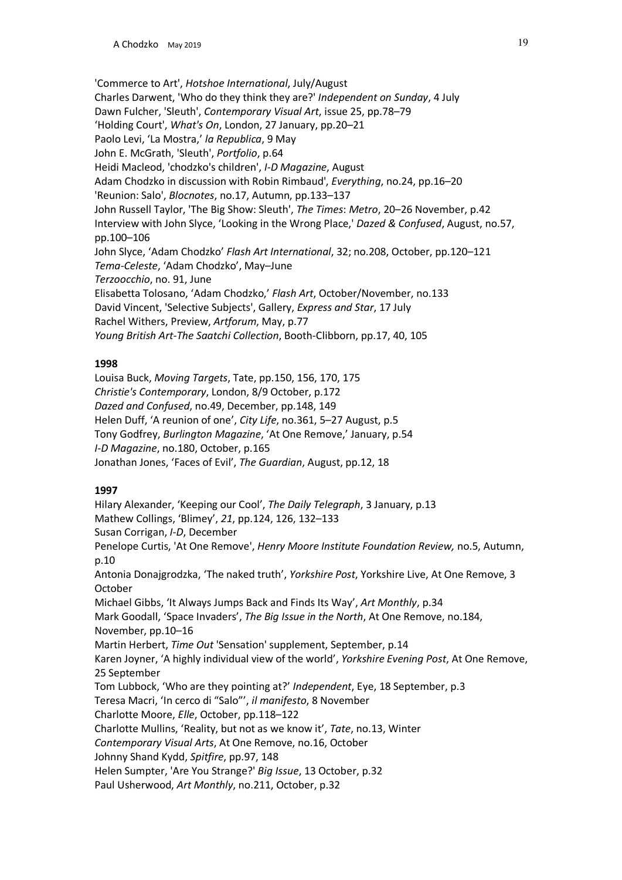'Commerce to Art', *Hotshoe International*, July/August Charles Darwent, 'Who do they think they are?' *Independent on Sunday*, 4 July Dawn Fulcher, 'Sleuth', *Contemporary Visual Art*, issue 25, pp.78–79 'Holding Court', *What's On*, London, 27 January, pp.20–21 Paolo Levi, 'La Mostra,' *la Republica*, 9 May John E. McGrath, 'Sleuth', *Portfolio*, p.64 Heidi Macleod, 'chodzko's children', *I-D Magazine*, August Adam Chodzko in discussion with Robin Rimbaud', *Everything*, no.24, pp.16–20 'Reunion: Salo', *Blocnotes*, no.17, Autumn, pp.133–137 John Russell Taylor, 'The Big Show: Sleuth', *The Times*: *Metro*, 20–26 November, p.42 Interview with John Slyce, 'Looking in the Wrong Place,' *Dazed & Confused*, August, no.57, pp.100–106 John Slyce, 'Adam Chodzko' *Flash Art International*, 32; no.208, October, pp.120–121 *Tema-Celeste*, 'Adam Chodzko', May–June *Terzoocchio*, no. 91, June Elisabetta Tolosano, 'Adam Chodzko,' *Flash Art*, October/November, no.133 David Vincent, 'Selective Subjects', Gallery, *Express and Star*, 17 July Rachel Withers, Preview, *Artforum*, May, p.77 *Young British Art-The Saatchi Collection*, Booth-Clibborn, pp.17, 40, 105

# **1998**

Louisa Buck, *Moving Targets*, Tate, pp.150, 156, 170, 175 *Christie's Contemporary*, London, 8/9 October, p.172 *Dazed and Confused*, no.49, December, pp.148, 149 Helen Duff, 'A reunion of one', *City Life*, no.361, 5–27 August, p.5 Tony Godfrey, *Burlington Magazine*, 'At One Remove,' January, p.54 *I-D Magazine*, no.180, October, p.165 Jonathan Jones, 'Faces of Evil', *The Guardian*, August, pp.12, 18

#### **1997**

Hilary Alexander, 'Keeping our Cool', *The Daily Telegraph*, 3 January, p.13 Mathew Collings, 'Blimey', *21*, pp.124, 126, 132–133 Susan Corrigan, *I-D*, December Penelope Curtis, 'At One Remove', *Henry Moore Institute Foundation Review,* no.5, Autumn, p.10 Antonia Donajgrodzka, 'The naked truth', *Yorkshire Post*, Yorkshire Live, At One Remove, 3 October Michael Gibbs, 'It Always Jumps Back and Finds Its Way', *Art Monthly*, p.34 Mark Goodall, 'Space Invaders', *The Big Issue in the North*, At One Remove, no.184, November, pp.10–16 Martin Herbert, *Time Out* 'Sensation' supplement, September, p.14 Karen Joyner, 'A highly individual view of the world', *Yorkshire Evening Post*, At One Remove, 25 September Tom Lubbock, 'Who are they pointing at?' *Independent*, Eye, 18 September, p.3 Teresa Macri, 'In cerco di "Salo"', *il manifesto*, 8 November Charlotte Moore, *Elle*, October, pp.118–122 Charlotte Mullins, 'Reality, but not as we know it', *Tate*, no.13, Winter *Contemporary Visual Arts*, At One Remove, no.16, October Johnny Shand Kydd, *Spitfire*, pp.97, 148 Helen Sumpter, 'Are You Strange?' *Big Issue*, 13 October, p.32 Paul Usherwood, *Art Monthly*, no.211, October, p.32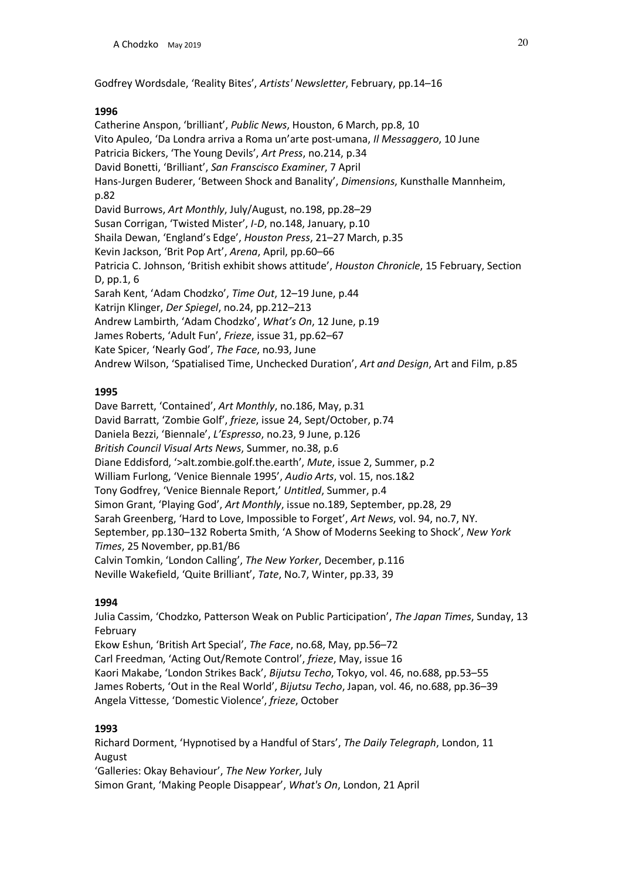Godfrey Wordsdale, 'Reality Bites', *Artists' Newsletter*, February, pp.14–16

# **1996**

Catherine Anspon, 'brilliant', *Public News*, Houston, 6 March, pp.8, 10 Vito Apuleo, 'Da Londra arriva a Roma un'arte post-umana, *Il Messaggero*, 10 June Patricia Bickers, 'The Young Devils', *Art Press*, no.214, p.34 David Bonetti, 'Brilliant', *San Franscisco Examiner*, 7 April Hans-Jurgen Buderer, 'Between Shock and Banality', *Dimensions*, Kunsthalle Mannheim, p.82 David Burrows, *Art Monthly*, July/August, no.198, pp.28–29 Susan Corrigan, 'Twisted Mister', *I-D*, no.148, January, p.10 Shaila Dewan, 'England's Edge', *Houston Press*, 21–27 March, p.35 Kevin Jackson, 'Brit Pop Art', *Arena*, April, pp.60–66 Patricia C. Johnson, 'British exhibit shows attitude', *Houston Chronicle*, 15 February, Section D, pp.1, 6 Sarah Kent, 'Adam Chodzko', *Time Out*, 12–19 June, p.44 Katrijn Klinger, *Der Spiegel*, no.24, pp.212–213 Andrew Lambirth, 'Adam Chodzko', *What's On*, 12 June, p.19 James Roberts, 'Adult Fun', *Frieze*, issue 31, pp.62–67 Kate Spicer, 'Nearly God', *The Face*, no.93, June Andrew Wilson, 'Spatialised Time, Unchecked Duration', *Art and Design*, Art and Film, p.85

# **1995**

Dave Barrett, 'Contained', *Art Monthly*, no.186, May, p.31 David Barratt, 'Zombie Golf', *frieze*, issue 24, Sept/October, p.74 Daniela Bezzi, 'Biennale', *L'Espresso*, no.23, 9 June, p.126 *British Council Visual Arts News*, Summer, no.38, p.6 Diane Eddisford, '>alt.zombie.golf.the.earth', *Mute*, issue 2, Summer, p.2 William Furlong, 'Venice Biennale 1995', *Audio Arts*, vol. 15, nos.1&2 Tony Godfrey, 'Venice Biennale Report,' *Untitled*, Summer, p.4 Simon Grant, 'Playing God', *Art Monthly*, issue no.189, September, pp.28, 29 Sarah Greenberg, 'Hard to Love, Impossible to Forget', *Art News*, vol. 94, no.7, NY. September, pp.130–132 Roberta Smith, 'A Show of Moderns Seeking to Shock', *New York Times*, 25 November, pp.B1/B6 Calvin Tomkin, 'London Calling', *The New Yorker*, December, p.116 Neville Wakefield, 'Quite Brilliant', *Tate*, No.7, Winter, pp.33, 39

#### **1994**

Julia Cassim, 'Chodzko, Patterson Weak on Public Participation', *The Japan Times*, Sunday, 13 February Ekow Eshun, 'British Art Special', *The Face*, no.68, May, pp.56–72 Carl Freedman, 'Acting Out/Remote Control', *frieze*, May, issue 16 Kaori Makabe, 'London Strikes Back', *Bijutsu Techo*, Tokyo, vol. 46, no.688, pp.53–55 James Roberts, 'Out in the Real World', *Bijutsu Techo*, Japan, vol. 46, no.688, pp.36–39 Angela Vittesse, 'Domestic Violence', *frieze*, October

# **1993**

Richard Dorment, 'Hypnotised by a Handful of Stars', *The Daily Telegraph*, London, 11 August 'Galleries: Okay Behaviour', *The New Yorker*, July Simon Grant, 'Making People Disappear', *What's On*, London, 21 April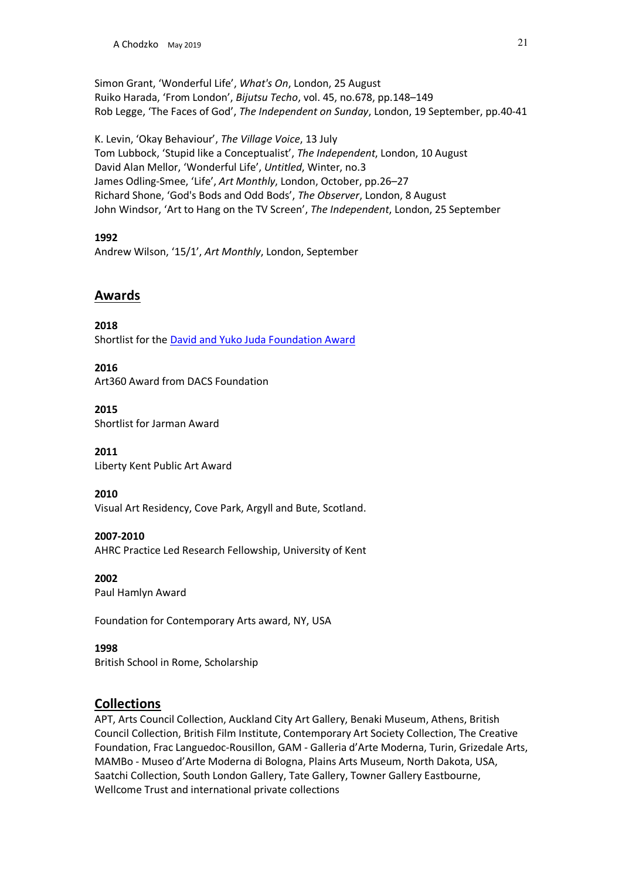Simon Grant, 'Wonderful Life', *What's On*, London, 25 August Ruiko Harada, 'From London', *Bijutsu Techo*, vol. 45, no.678, pp.148–149 Rob Legge, 'The Faces of God', *The Independent on Sunday*, London, 19 September, pp.40-41

K. Levin, 'Okay Behaviour', *The Village Voice*, 13 July Tom Lubbock, 'Stupid like a Conceptualist', *The Independent*, London, 10 August David Alan Mellor, 'Wonderful Life', *Untitled*, Winter, no.3 James Odling-Smee, 'Life', *Art Monthly*, London, October, pp.26–27 Richard Shone, 'God's Bods and Odd Bods', *The Observer*, London, 8 August John Windsor, 'Art to Hang on the TV Screen', *The Independent*, London, 25 September

# **1992**

Andrew Wilson, '15/1', *Art Monthly*, London, September

# **Awards**

**2018** Shortlist for the David and Yuko Juda Foundation Award

#### **2016** Art360 Award from DACS Foundation

**2015** Shortlist for Jarman Award

**2011** Liberty Kent Public Art Award

**2010** Visual Art Residency, Cove Park, Argyll and Bute, Scotland.

**2007-2010**  AHRC Practice Led Research Fellowship, University of Kent

**2002**  Paul Hamlyn Award

Foundation for Contemporary Arts award, NY, USA

**1998** British School in Rome, Scholarship

# **Collections**

APT, Arts Council Collection, Auckland City Art Gallery, Benaki Museum, Athens, British Council Collection, British Film Institute, Contemporary Art Society Collection, The Creative Foundation, Frac Languedoc-Rousillon, GAM - Galleria d'Arte Moderna, Turin, Grizedale Arts, MAMBo - Museo d'Arte Moderna di Bologna, Plains Arts Museum, North Dakota, USA, Saatchi Collection, South London Gallery, Tate Gallery, Towner Gallery Eastbourne, Wellcome Trust and international private collections